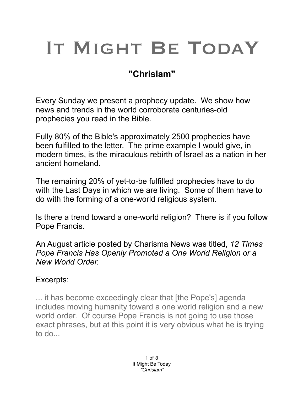## IT MIGHT BE TODAY

## **"Chrislam"**

Every Sunday we present a prophecy update. We show how news and trends in the world corroborate centuries-old prophecies you read in the Bible.

Fully 80% of the Bible's approximately 2500 prophecies have been fulfilled to the letter. The prime example I would give, in modern times, is the miraculous rebirth of Israel as a nation in her ancient homeland.

The remaining 20% of yet-to-be fulfilled prophecies have to do with the Last Days in which we are living. Some of them have to do with the forming of a one-world religious system.

Is there a trend toward a one-world religion? There is if you follow Pope Francis.

An August article posted by Charisma News was titled, *12 Times Pope Francis Has Openly Promoted a One World Religion or a New World Order.*

## Excerpts:

... it has become exceedingly clear that [the Pope's] agenda includes moving humanity toward a one world religion and a new world order. Of course Pope Francis is not going to use those exact phrases, but at this point it is very obvious what he is trying to do...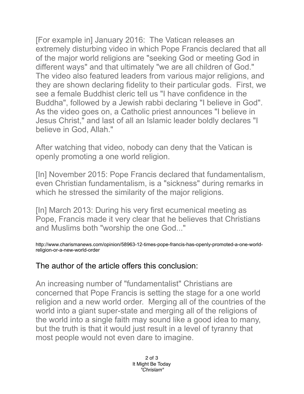[For example in] January 2016: The Vatican releases an extremely disturbing video in which Pope Francis declared that all of the major world religions are "seeking God or meeting God in different ways" and that ultimately "we are all children of God." The video also featured leaders from various major religions, and they are shown declaring fidelity to their particular gods. First, we see a female Buddhist cleric tell us "I have confidence in the Buddha", followed by a Jewish rabbi declaring "I believe in God". As the video goes on, a Catholic priest announces "I believe in Jesus Christ," and last of all an Islamic leader boldly declares "I believe in God, Allah."

After watching that video, nobody can deny that the Vatican is openly promoting a one world religion.

[In] November 2015: Pope Francis declared that fundamentalism, even Christian fundamentalism, is a "sickness" during remarks in which he stressed the similarity of the major religions.

[In] March 2013: During his very first ecumenical meeting as Pope, Francis made it very clear that he believes that Christians and Muslims both "worship the one God..."

http://www.charismanews.com/opinion/58963-12-times-pope-francis-has-openly-promoted-a-one-worldreligion-or-a-new-world-order

## The author of the article offers this conclusion:

An increasing number of "fundamentalist" Christians are concerned that Pope Francis is setting the stage for a one world religion and a new world order. Merging all of the countries of the world into a giant super-state and merging all of the religions of the world into a single faith may sound like a good idea to many, but the truth is that it would just result in a level of tyranny that most people would not even dare to imagine.